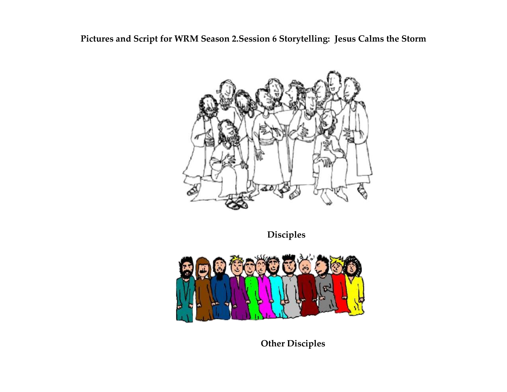**Pictures and Script for WRM Season 2.Session 6 Storytelling: Jesus Calms the Storm**



 **Disciples** 



 **Other Disciples**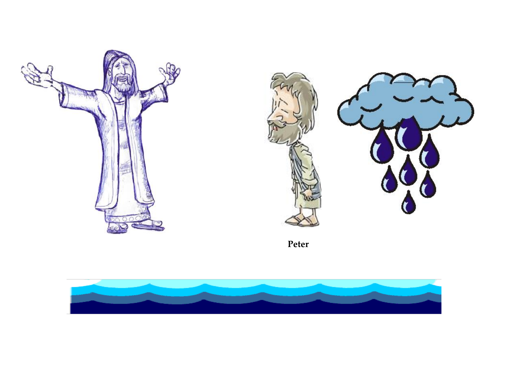



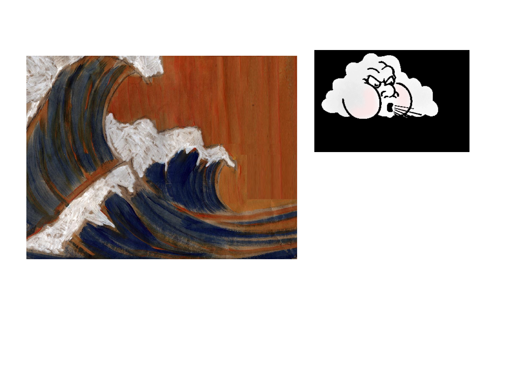

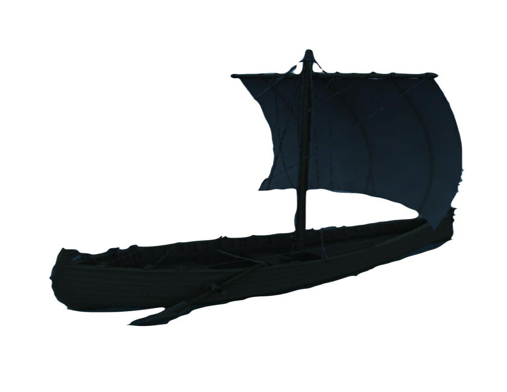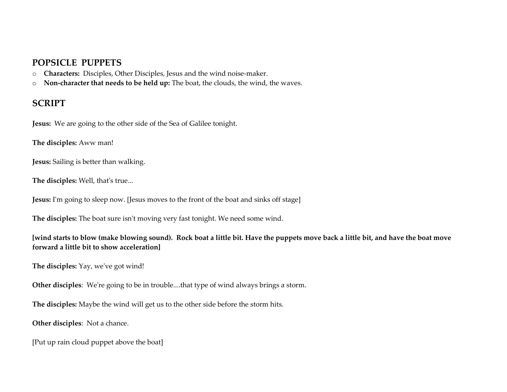## **POPSICLE PUPPETS**

- o **Characters:** Disciples, Other Disciples, Jesus and the wind noise-maker.
- o **Non-character that needs to be held up:** The boat, the clouds, the wind, the waves.

## **SCRIPT**

**Jesus:** We are going to the other side of the Sea of Galilee tonight.

**The disciples:** Aww man!

**Jesus:** Sailing is better than walking.

**The disciples:** Well, that's true...

**Jesus:** I'm going to sleep now. [Jesus moves to the front of the boat and sinks off stage]

**The disciples:** The boat sure isn't moving very fast tonight. We need some wind.

## **[wind starts to blow (make blowing sound). Rock boat a little bit. Have the puppets move back a little bit, and have the boat move forward a little bit to show acceleration]**

**The disciples:** Yay, we've got wind!

**Other disciples**: We're going to be in trouble....that type of wind always brings a storm.

**The disciples:** Maybe the wind will get us to the other side before the storm hits.

**Other disciples**: Not a chance.

[Put up rain cloud puppet above the boat]